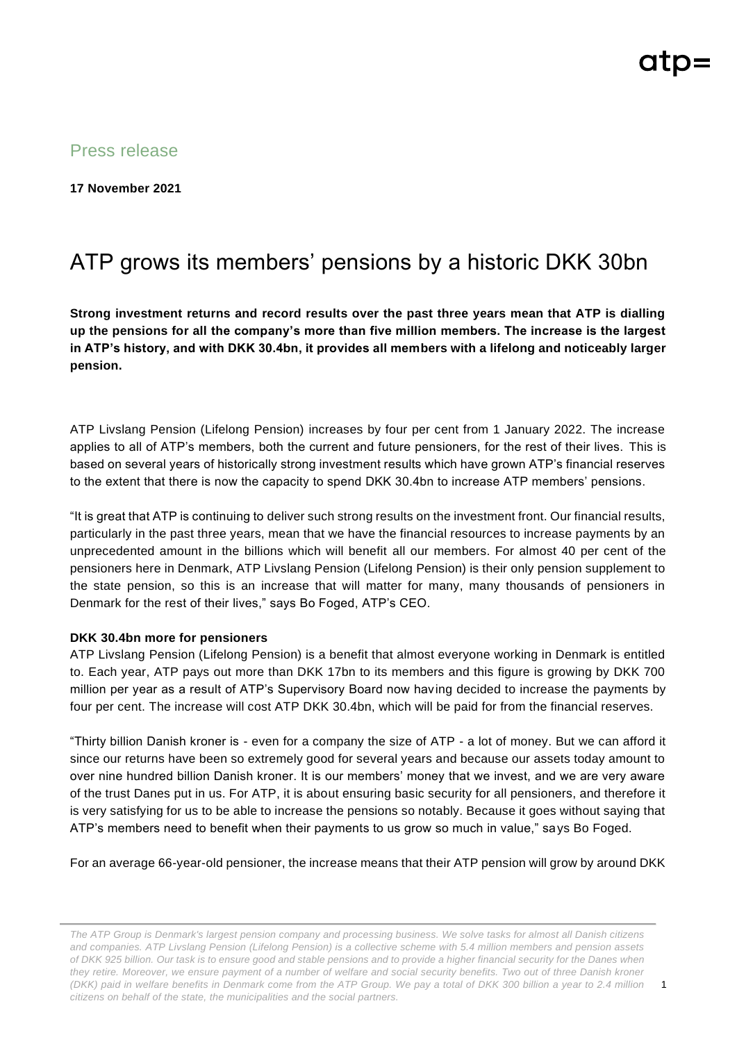Press release

**17 November 2021**

## ATP grows its members' pensions by a historic DKK 30bn

**Strong investment returns and record results over the past three years mean that ATP is dialling up the pensions for all the company's more than five million members. The increase is the largest in ATP's history, and with DKK 30.4bn, it provides all members with a lifelong and noticeably larger pension.** 

ATP Livslang Pension (Lifelong Pension) increases by four per cent from 1 January 2022. The increase applies to all of ATP's members, both the current and future pensioners, for the rest of their lives. This is based on several years of historically strong investment results which have grown ATP's financial reserves to the extent that there is now the capacity to spend DKK 30.4bn to increase ATP members' pensions.

"It is great that ATP is continuing to deliver such strong results on the investment front. Our financial results, particularly in the past three years, mean that we have the financial resources to increase payments by an unprecedented amount in the billions which will benefit all our members. For almost 40 per cent of the pensioners here in Denmark, ATP Livslang Pension (Lifelong Pension) is their only pension supplement to the state pension, so this is an increase that will matter for many, many thousands of pensioners in Denmark for the rest of their lives," says Bo Foged, ATP's CEO.

## **DKK 30.4bn more for pensioners**

ATP Livslang Pension (Lifelong Pension) is a benefit that almost everyone working in Denmark is entitled to. Each year, ATP pays out more than DKK 17bn to its members and this figure is growing by DKK 700 million per year as a result of ATP's Supervisory Board now having decided to increase the payments by four per cent. The increase will cost ATP DKK 30.4bn, which will be paid for from the financial reserves.

"Thirty billion Danish kroner is - even for a company the size of ATP - a lot of money. But we can afford it since our returns have been so extremely good for several years and because our assets today amount to over nine hundred billion Danish kroner. It is our members' money that we invest, and we are very aware of the trust Danes put in us. For ATP, it is about ensuring basic security for all pensioners, and therefore it is very satisfying for us to be able to increase the pensions so notably. Because it goes without saying that ATP's members need to benefit when their payments to us grow so much in value," says Bo Foged.

For an average 66-year-old pensioner, the increase means that their ATP pension will grow by around DKK

*The ATP Group is Denmark's largest pension company and processing business. We solve tasks for almost all Danish citizens and companies. ATP Livslang Pension (Lifelong Pension) is a collective scheme with 5.4 million members and pension assets of DKK 925 billion. Our task is to ensure good and stable pensions and to provide a higher financial security for the Danes when they retire. Moreover, we ensure payment of a number of welfare and social security benefits. Two out of three Danish kroner (DKK) paid in welfare benefits in Denmark come from the ATP Group. We pay a total of DKK 300 billion a year to 2.4 million citizens on behalf of the state, the municipalities and the social partners.*